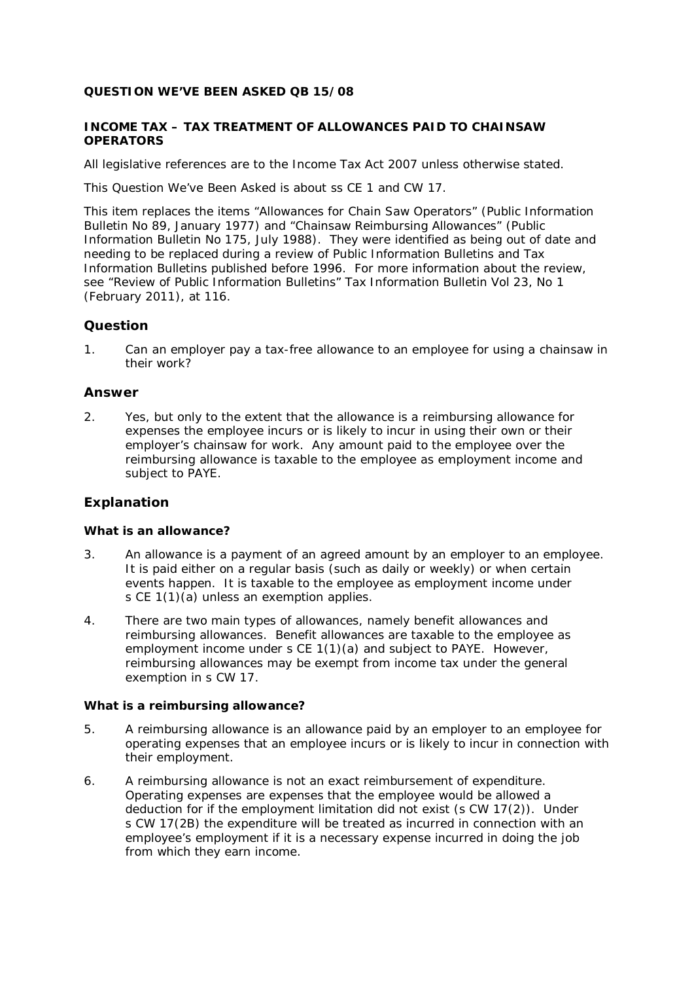# **QUESTION WE'VE BEEN ASKED QB 15/08**

# **INCOME TAX – TAX TREATMENT OF ALLOWANCES PAID TO CHAINSAW OPERATORS**

All legislative references are to the Income Tax Act 2007 unless otherwise stated.

This Question We've Been Asked is about ss CE 1 and CW 17.

This item replaces the items "Allowances for Chain Saw Operators" (*Public Information Bulletin* No 89, January 1977) and "Chainsaw Reimbursing Allowances" (*Public Information Bulletin* No 175, July 1988). They were identified as being out of date and needing to be replaced during a review of *Public Information Bulletins* and *Tax Information Bulletins* published before 1996. For more information about the review, see "Review of Public Information Bulletins" *Tax Information Bulletin* Vol 23, No 1 (February 2011), at 116.

# **Question**

1. Can an employer pay a tax-free allowance to an employee for using a chainsaw in their work?

# **Answer**

2. Yes, but only to the extent that the allowance is a reimbursing allowance for expenses the employee incurs or is likely to incur in using their own or their employer's chainsaw for work. Any amount paid to the employee over the reimbursing allowance is taxable to the employee as employment income and subject to PAYE.

# **Explanation**

## **What is an allowance?**

- 3. An allowance is a payment of an agreed amount by an employer to an employee. It is paid either on a regular basis (such as daily or weekly) or when certain events happen. It is taxable to the employee as employment income under s CE 1(1)(a) unless an exemption applies.
- 4. There are two main types of allowances, namely benefit allowances and reimbursing allowances. Benefit allowances are taxable to the employee as employment income under s CE 1(1)(a) and subject to PAYE. However, reimbursing allowances may be exempt from income tax under the general exemption in s CW 17.

#### **What is a reimbursing allowance?**

- 5. A reimbursing allowance is an allowance paid by an employer to an employee for operating expenses that an employee incurs or is likely to incur in connection with their employment.
- 6. A reimbursing allowance is not an exact reimbursement of expenditure. Operating expenses are expenses that the employee would be allowed a deduction for if the employment limitation did not exist (s CW 17(2)). Under s CW 17(2B) the expenditure will be treated as incurred in connection with an employee's employment if it is a necessary expense incurred in doing the job from which they earn income.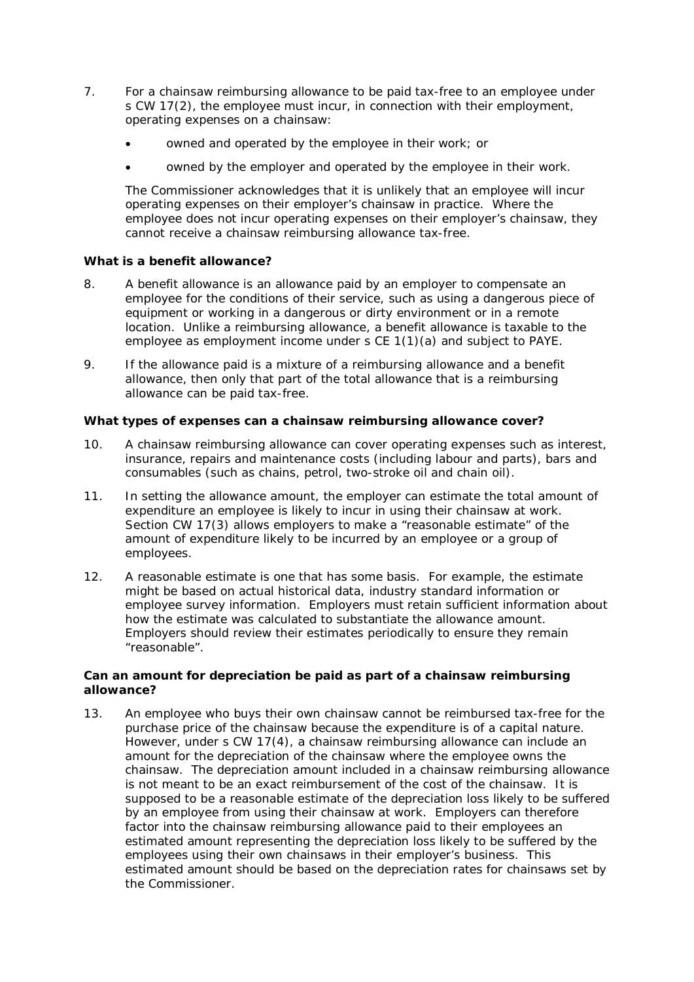- 7. For a chainsaw reimbursing allowance to be paid tax-free to an employee under s CW 17(2), the employee must incur, in connection with their employment, operating expenses on a chainsaw:
	- owned and operated by the employee in their work; or
	- owned by the employer and operated by the employee in their work.

The Commissioner acknowledges that it is unlikely that an employee will incur operating expenses on their employer's chainsaw in practice. Where the employee does not incur operating expenses on their employer's chainsaw, they cannot receive a chainsaw reimbursing allowance tax-free.

# **What is a benefit allowance?**

- 8. A benefit allowance is an allowance paid by an employer to compensate an employee for the conditions of their service, such as using a dangerous piece of equipment or working in a dangerous or dirty environment or in a remote location. Unlike a reimbursing allowance, a benefit allowance is taxable to the employee as employment income under s CE 1(1)(a) and subject to PAYE.
- 9. If the allowance paid is a mixture of a reimbursing allowance and a benefit allowance, then only that part of the total allowance that is a reimbursing allowance can be paid tax-free.

## **What types of expenses can a chainsaw reimbursing allowance cover?**

- 10. A chainsaw reimbursing allowance can cover operating expenses such as interest, insurance, repairs and maintenance costs (including labour and parts), bars and consumables (such as chains, petrol, two-stroke oil and chain oil).
- 11. In setting the allowance amount, the employer can estimate the total amount of expenditure an employee is likely to incur in using their chainsaw at work. Section CW 17(3) allows employers to make a "reasonable estimate" of the amount of expenditure likely to be incurred by an employee or a group of employees.
- 12. A reasonable estimate is one that has some basis. For example, the estimate might be based on actual historical data, industry standard information or employee survey information. Employers must retain sufficient information about how the estimate was calculated to substantiate the allowance amount. Employers should review their estimates periodically to ensure they remain "reasonable".

## **Can an amount for depreciation be paid as part of a chainsaw reimbursing allowance?**

13. An employee who buys their own chainsaw cannot be reimbursed tax-free for the purchase price of the chainsaw because the expenditure is of a capital nature. However, under s CW 17(4), a chainsaw reimbursing allowance can include an amount for the depreciation of the chainsaw where the employee owns the chainsaw. The depreciation amount included in a chainsaw reimbursing allowance is not meant to be an exact reimbursement of the cost of the chainsaw. It is supposed to be a reasonable estimate of the depreciation loss likely to be suffered by an employee from using their chainsaw at work. Employers can therefore factor into the chainsaw reimbursing allowance paid to their employees an estimated amount representing the depreciation loss likely to be suffered by the employees using their own chainsaws in their employer's business. This estimated amount should be based on the depreciation rates for chainsaws set by the Commissioner.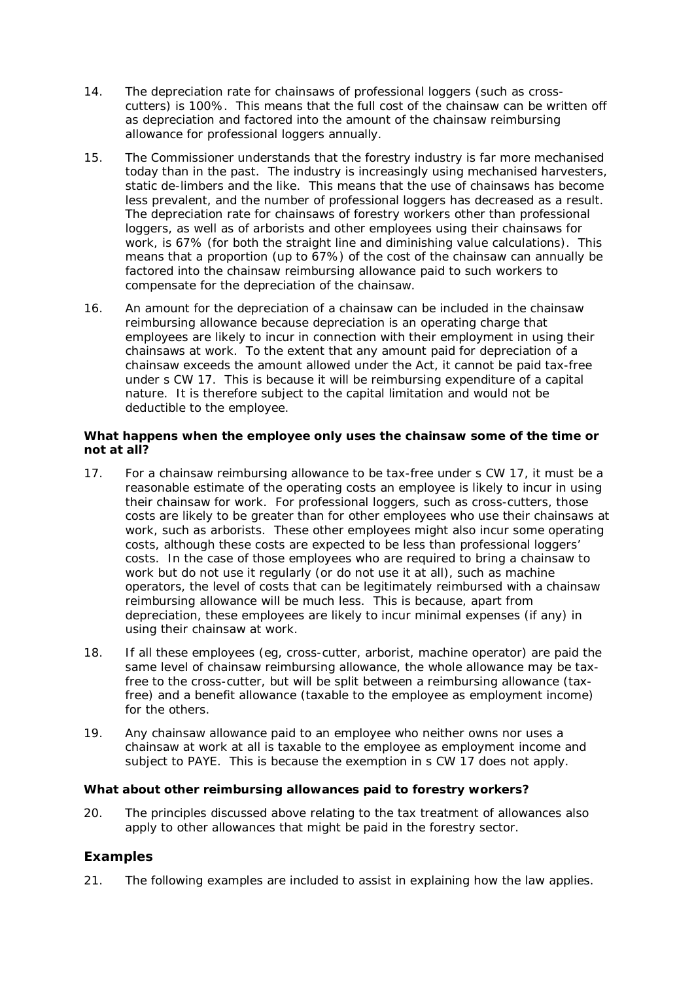- 14. The depreciation rate for chainsaws of professional loggers (such as crosscutters) is 100%. This means that the full cost of the chainsaw can be written off as depreciation and factored into the amount of the chainsaw reimbursing allowance for professional loggers annually.
- 15. The Commissioner understands that the forestry industry is far more mechanised today than in the past. The industry is increasingly using mechanised harvesters, static de-limbers and the like. This means that the use of chainsaws has become less prevalent, and the number of professional loggers has decreased as a result. The depreciation rate for chainsaws of forestry workers other than professional loggers, as well as of arborists and other employees using their chainsaws for work, is 67% (for both the straight line and diminishing value calculations). This means that a proportion (up to 67%) of the cost of the chainsaw can annually be factored into the chainsaw reimbursing allowance paid to such workers to compensate for the depreciation of the chainsaw.
- 16. An amount for the depreciation of a chainsaw can be included in the chainsaw reimbursing allowance because depreciation is an operating charge that employees are likely to incur in connection with their employment in using their chainsaws at work. To the extent that any amount paid for depreciation of a chainsaw exceeds the amount allowed under the Act, it cannot be paid tax-free under s CW 17. This is because it will be reimbursing expenditure of a capital nature. It is therefore subject to the capital limitation and would not be deductible to the employee.

# **What happens when the employee only uses the chainsaw some of the time or not at all?**

- 17. For a chainsaw reimbursing allowance to be tax-free under s CW 17, it must be a reasonable estimate of the operating costs an employee is likely to incur in using their chainsaw for work. For professional loggers, such as cross-cutters, those costs are likely to be greater than for other employees who use their chainsaws at work, such as arborists. These other employees might also incur some operating costs, although these costs are expected to be less than professional loggers' costs. In the case of those employees who are required to bring a chainsaw to work but do not use it regularly (or do not use it at all), such as machine operators, the level of costs that can be legitimately reimbursed with a chainsaw reimbursing allowance will be much less. This is because, apart from depreciation, these employees are likely to incur minimal expenses (if any) in using their chainsaw at work.
- 18. If all these employees (eg, cross-cutter, arborist, machine operator) are paid the same level of chainsaw reimbursing allowance, the whole allowance may be taxfree to the cross-cutter, but will be split between a reimbursing allowance (taxfree) and a benefit allowance (taxable to the employee as employment income) for the others.
- 19. Any chainsaw allowance paid to an employee who neither owns nor uses a chainsaw at work at all is taxable to the employee as employment income and subject to PAYE. This is because the exemption in s CW 17 does not apply.

## **What about other reimbursing allowances paid to forestry workers?**

20. The principles discussed above relating to the tax treatment of allowances also apply to other allowances that might be paid in the forestry sector.

# **Examples**

21. The following examples are included to assist in explaining how the law applies.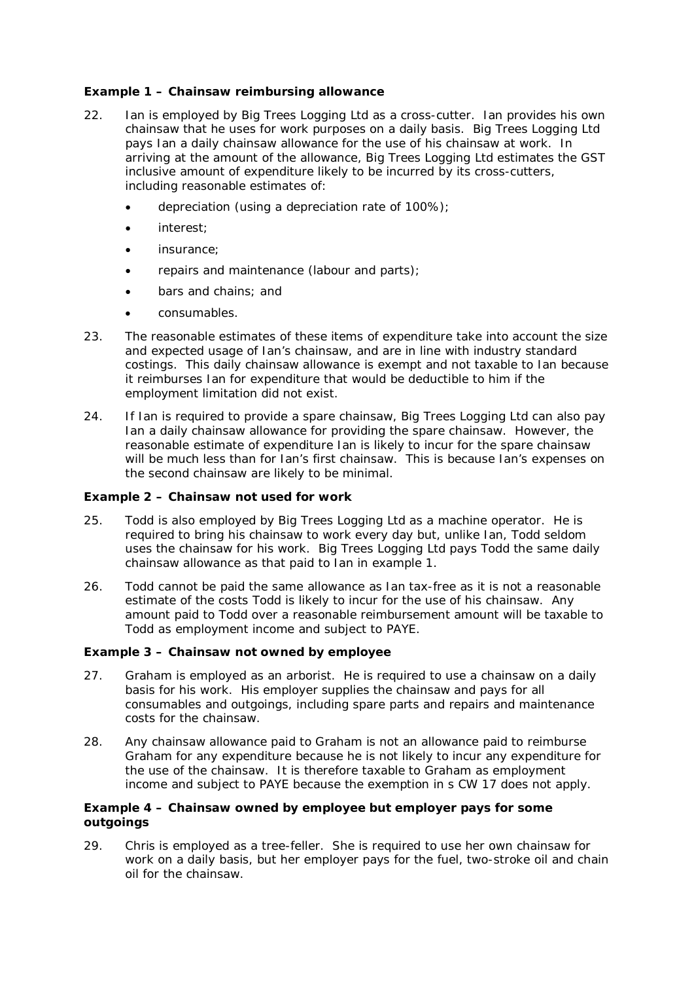# **Example 1 – Chainsaw reimbursing allowance**

- 22. Ian is employed by Big Trees Logging Ltd as a cross-cutter. Ian provides his own chainsaw that he uses for work purposes on a daily basis. Big Trees Logging Ltd pays Ian a daily chainsaw allowance for the use of his chainsaw at work. In arriving at the amount of the allowance, Big Trees Logging Ltd estimates the GST inclusive amount of expenditure likely to be incurred by its cross-cutters, including reasonable estimates of:
	- depreciation (using a depreciation rate of 100%);
	- interest;
	- insurance:
	- repairs and maintenance (labour and parts);
	- bars and chains; and
	- consumables.
- 23. The reasonable estimates of these items of expenditure take into account the size and expected usage of Ian's chainsaw, and are in line with industry standard costings. This daily chainsaw allowance is exempt and not taxable to Ian because it reimburses Ian for expenditure that would be deductible to him if the employment limitation did not exist.
- 24. If Ian is required to provide a spare chainsaw, Big Trees Logging Ltd can also pay Ian a daily chainsaw allowance for providing the spare chainsaw. However, the reasonable estimate of expenditure Ian is likely to incur for the spare chainsaw will be much less than for Ian's first chainsaw. This is because Ian's expenses on the second chainsaw are likely to be minimal.

## **Example 2 – Chainsaw not used for work**

- 25. Todd is also employed by Big Trees Logging Ltd as a machine operator. He is required to bring his chainsaw to work every day but, unlike Ian, Todd seldom uses the chainsaw for his work. Big Trees Logging Ltd pays Todd the same daily chainsaw allowance as that paid to Ian in example 1.
- 26. Todd cannot be paid the same allowance as Ian tax-free as it is not a reasonable estimate of the costs Todd is likely to incur for the use of his chainsaw. Any amount paid to Todd over a reasonable reimbursement amount will be taxable to Todd as employment income and subject to PAYE.

## **Example 3 – Chainsaw not owned by employee**

- 27. Graham is employed as an arborist. He is required to use a chainsaw on a daily basis for his work. His employer supplies the chainsaw and pays for all consumables and outgoings, including spare parts and repairs and maintenance costs for the chainsaw.
- 28. Any chainsaw allowance paid to Graham is not an allowance paid to reimburse Graham for any expenditure because he is not likely to incur any expenditure for the use of the chainsaw. It is therefore taxable to Graham as employment income and subject to PAYE because the exemption in s CW 17 does not apply.

## **Example 4 – Chainsaw owned by employee but employer pays for some outgoings**

29. Chris is employed as a tree-feller. She is required to use her own chainsaw for work on a daily basis, but her employer pays for the fuel, two-stroke oil and chain oil for the chainsaw.